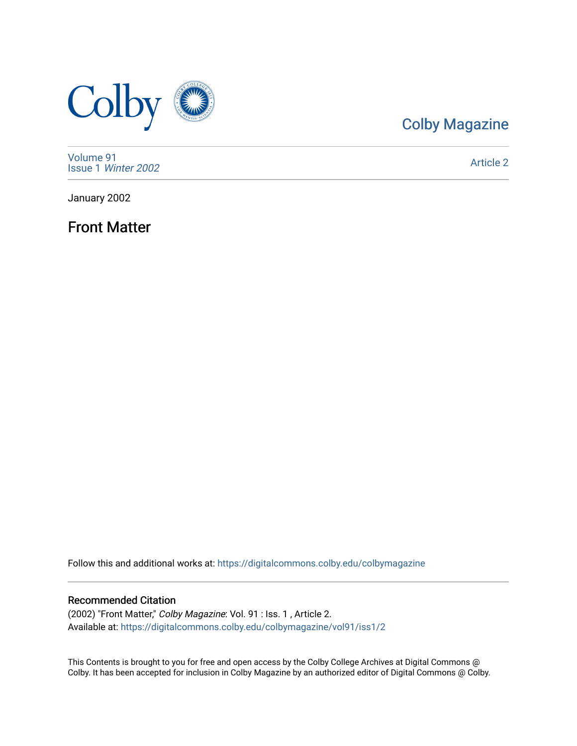

## [Colby Magazine](https://digitalcommons.colby.edu/colbymagazine)

[Volume 91](https://digitalcommons.colby.edu/colbymagazine/vol91) Issue 1 [Winter 2002](https://digitalcommons.colby.edu/colbymagazine/vol91/iss1) 

[Article 2](https://digitalcommons.colby.edu/colbymagazine/vol91/iss1/2) 

January 2002

Front Matter

Follow this and additional works at: [https://digitalcommons.colby.edu/colbymagazine](https://digitalcommons.colby.edu/colbymagazine?utm_source=digitalcommons.colby.edu%2Fcolbymagazine%2Fvol91%2Fiss1%2F2&utm_medium=PDF&utm_campaign=PDFCoverPages)

### Recommended Citation

(2002) "Front Matter," Colby Magazine: Vol. 91 : Iss. 1 , Article 2. Available at: [https://digitalcommons.colby.edu/colbymagazine/vol91/iss1/2](https://digitalcommons.colby.edu/colbymagazine/vol91/iss1/2?utm_source=digitalcommons.colby.edu%2Fcolbymagazine%2Fvol91%2Fiss1%2F2&utm_medium=PDF&utm_campaign=PDFCoverPages)

This Contents is brought to you for free and open access by the Colby College Archives at Digital Commons @ Colby. It has been accepted for inclusion in Colby Magazine by an authorized editor of Digital Commons @ Colby.